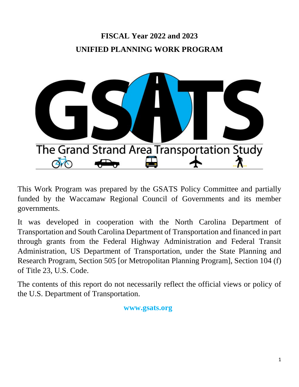# **FISCAL Year 2022 and 2023 UNIFIED PLANNING WORK PROGRAM**



This Work Program was prepared by the GSATS Policy Committee and partially funded by the Waccamaw Regional Council of Governments and its member governments.

It was developed in cooperation with the North Carolina Department of Transportation and South Carolina Department of Transportation and financed in part through grants from the Federal Highway Administration and Federal Transit Administration, US Department of Transportation, under the State Planning and Research Program, Section 505 [or Metropolitan Planning Program], Section 104 (f) of Title 23, U.S. Code.

The contents of this report do not necessarily reflect the official views or policy of the U.S. Department of Transportation.

# **www.gsats.org**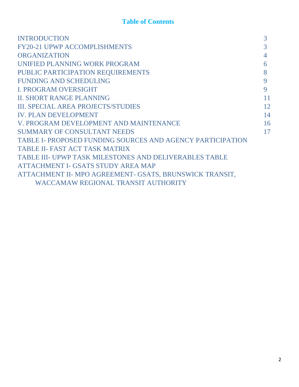# **Table of Contents**

| <b>INTRODUCTION</b>                                        | 3  |
|------------------------------------------------------------|----|
| <b>FY20-21 UPWP ACCOMPLISHMENTS</b>                        | 3  |
| <b>ORGANIZATION</b>                                        | 4  |
| UNIFIED PLANNING WORK PROGRAM                              | 6  |
| PUBLIC PARTICIPATION REQUIREMENTS                          | 8  |
| <b>FUNDING AND SCHEDULING</b>                              | 9  |
| <b>I. PROGRAM OVERSIGHT</b>                                | 9  |
| <b>II. SHORT RANGE PLANNING</b>                            | 11 |
| <b>III. SPECIAL AREA PROJECTS/STUDIES</b>                  | 12 |
| <b>IV. PLAN DEVELOPMENT</b>                                | 14 |
| V. PROGRAM DEVELOPMENT AND MAINTENANCE                     | 16 |
| <b>SUMMARY OF CONSULTANT NEEDS</b>                         | 17 |
| TABLE I- PROPOSED FUNDING SOURCES AND AGENCY PARTICIPATION |    |
| <b>TABLE II- FAST ACT TASK MATRIX</b>                      |    |
| TABLE III- UPWP TASK MILESTONES AND DELIVERABLES TABLE     |    |
| <b>ATTACHMENT I- GSATS STUDY AREA MAP</b>                  |    |
| ATTACHMENT II- MPO AGREEMENT- GSATS, BRUNSWICK TRANSIT,    |    |
| <b>WACCAMAW REGIONAL TRANSIT AUTHORITY</b>                 |    |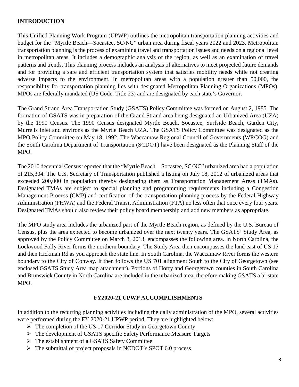### **INTRODUCTION**

This Unified Planning Work Program (UPWP) outlines the metropolitan transportation planning activities and budget for the "Myrtle Beach—Socastee, SC/NC" urban area during fiscal years 2022 and 2023. Metropolitan transportation planning is the process of examining travel and transportation issues and needs on a regional level in metropolitan areas. It includes a demographic analysis of the region, as well as an examination of travel patterns and trends. This planning process includes an analysis of alternatives to meet projected future demands and for providing a safe and efficient transportation system that satisfies mobility needs while not creating adverse impacts to the environment. In metropolitan areas with a population greater than 50,000, the responsibility for transportation planning lies with designated Metropolitan Planning Organizations (MPOs). MPOs are federally mandated (US Code, Title 23) and are designated by each state's Governor.

The Grand Strand Area Transportation Study (GSATS) Policy Committee was formed on August 2, 1985. The formation of GSATS was in preparation of the Grand Strand area being designated an Urbanized Area (UZA) by the 1990 Census. The 1990 Census designated Myrtle Beach, Socastee, Surfside Beach, Garden City, Murrells Inlet and environs as the Myrtle Beach UZA. The GSATS Policy Committee was designated as the MPO Policy Committee on May 18, 1992. The Waccamaw Regional Council of Governments (WRCOG) and the South Carolina Department of Transportation (SCDOT) have been designated as the Planning Staff of the MPO.

The 2010 decennial Census reported that the "Myrtle Beach—Socastee, SC/NC" urbanized area had a population of 215,304. The U.S. Secretary of Transportation published a listing on July 18, 2012 of urbanized areas that exceeded 200,000 in population thereby designating them as Transportation Management Areas (TMAs). Designated TMAs are subject to special planning and programming requirements including a Congestion Management Process (CMP) and certification of the transportation planning process by the Federal Highway Administration (FHWA) and the Federal Transit Administration (FTA) no less often that once every four years. Designated TMAs should also review their policy board membership and add new members as appropriate.

The MPO study area includes the urbanized part of the Myrtle Beach region, as defined by the U.S. Bureau of Census, plus the area expected to become urbanized over the next twenty years. The GSATS' Study Area, as approved by the Policy Committee on March 8, 2013, encompasses the following area. In North Carolina, the Lockwood Folly River forms the northern boundary. The Study Area then encompasses the land east of US 17 and then Hickman Rd as you approach the state line. In South Carolina, the Waccamaw River forms the western boundary to the City of Conway. It then follows the US 701 alignment South to the City of Georgetown (see enclosed GSATS Study Area map attachment). Portions of Horry and Georgetown counties in South Carolina and Brunswick County in North Carolina are included in the urbanized area, therefore making GSATS a bi-state MPO.

#### **FY2020-21 UPWP ACCOMPLISHMENTS**

In addition to the recurring planning activities including the daily administration of the MPO, several activities were performed during the FY 2020-21 UPWP period. They are highlighted below:

- $\triangleright$  The completion of the US 17 Corridor Study in Georgetown County
- $\triangleright$  The development of GSATS specific Safety Performance Measure Targets
- The establishment of a GSATS Safety Committee
- $\triangleright$  The submittal of project proposals in NCDOT's SPOT 6.0 process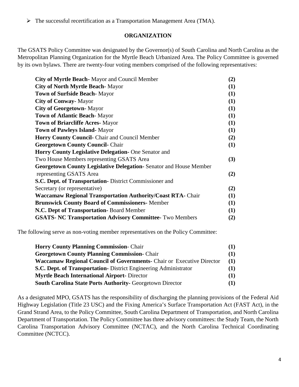$\triangleright$  The successful recertification as a Transportation Management Area (TMA).

#### **ORGANIZATION**

The GSATS Policy Committee was designated by the Governor(s) of South Carolina and North Carolina as the Metropolitan Planning Organization for the Myrtle Beach Urbanized Area. The Policy Committee is governed by its own bylaws. There are twenty-four voting members comprised of the following representatives:

| City of Myrtle Beach - Mayor and Council Member                    | (2)        |
|--------------------------------------------------------------------|------------|
| <b>City of North Myrtle Beach-Mayor</b>                            | (1)        |
| <b>Town of Surfside Beach-Mayor</b>                                | <b>(1)</b> |
| <b>City of Conway-Mayor</b>                                        | (1)        |
| <b>City of Georgetown-Mayor</b>                                    | (1)        |
| <b>Town of Atlantic Beach-Mayor</b>                                | (1)        |
| <b>Town of Briarcliffe Acres-Mayor</b>                             | (1)        |
| <b>Town of Pawleys Island-Mayor</b>                                | (1)        |
| <b>Horry County Council-</b> Chair and Council Member              | (2)        |
| <b>Georgetown County Council- Chair</b>                            | (1)        |
| <b>Horry County Legislative Delegation-</b> One Senator and        |            |
| Two House Members representing GSATS Area                          | (3)        |
| Georgetown County Legislative Delegation-Senator and House Member  |            |
| representing GSATS Area                                            | (2)        |
| S.C. Dept. of Transportation-District Commissioner and             |            |
| Secretary (or representative)                                      | (2)        |
| <b>Waccamaw Regional Transportation Authority/Coast RTA-</b> Chair | (1)        |
| <b>Brunswick County Board of Commissioners-</b> Member             | (1)        |
| N.C. Dept of Transportation- Board Member                          | (1)        |
| <b>GSATS- NC Transportation Advisory Committee- Two Members</b>    | (2)        |
|                                                                    |            |

The following serve as non-voting member representatives on the Policy Committee:

| <b>Horry County Planning Commission- Chair</b>                               | (1)      |
|------------------------------------------------------------------------------|----------|
| <b>Georgetown County Planning Commission-</b> Chair                          | $\bf(1)$ |
| <b>Waccamaw Regional Council of Governments-</b> Chair or Executive Director | (1)      |
| S.C. Dept. of Transportation- District Engineering Administrator             | (1)      |
| <b>Myrtle Beach International Airport- Director</b>                          | (1)      |
| <b>South Carolina State Ports Authority- Georgetown Director</b>             | $\bf(1)$ |

As a designated MPO, GSATS has the responsibility of discharging the planning provisions of the Federal Aid Highway Legislation (Title 23 USC) and the Fixing America's Surface Transportation Act (FAST Act), in the Grand Strand Area, to the Policy Committee, South Carolina Department of Transportation, and North Carolina Department of Transportation. The Policy Committee has three advisory committees: the Study Team, the North Carolina Transportation Advisory Committee (NCTAC), and the North Carolina Technical Coordinating Committee (NCTCC).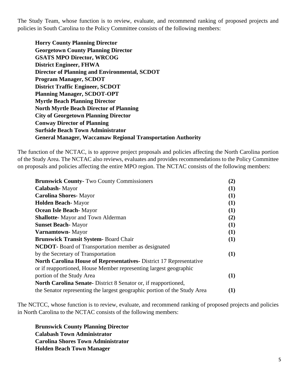The Study Team, whose function is to review, evaluate, and recommend ranking of proposed projects and policies in South Carolina to the Policy Committee consists of the following members:

**Horry County Planning Director Georgetown County Planning Director GSATS MPO Director, WRCOG District Engineer, FHWA Director of Planning and Environmental, SCDOT Program Manager, SCDOT District Traffic Engineer, SCDOT Planning Manager, SCDOT-OPT Myrtle Beach Planning Director North Myrtle Beach Director of Planning City of Georgetown Planning Director Conway Director of Planning Surfside Beach Town Administrator General Manager, Waccamaw Regional Transportation Authority**

The function of the NCTAC, is to approve project proposals and policies affecting the North Carolina portion of the Study Area. The NCTAC also reviews, evaluates and provides recommendations to the Policy Committee on proposals and policies affecting the entire MPO region. The NCTAC consists of the following members:

| <b>Brunswick County-Two County Commissioners</b>                          | (2) |
|---------------------------------------------------------------------------|-----|
| Calabash-Mayor                                                            | (1) |
| <b>Carolina Shores-Mayor</b>                                              | (1) |
| <b>Holden Beach-Mayor</b>                                                 | (1) |
| <b>Ocean Isle Beach-Mayor</b>                                             | (1) |
| <b>Shallotte-</b> Mayor and Town Alderman                                 | (2) |
| <b>Sunset Beach-Mayor</b>                                                 | (1) |
| Varnamtown-Mayor                                                          | (1) |
| <b>Brunswick Transit System-Board Chair</b>                               | (1) |
| <b>NCDOT</b> -Board of Transportation member as designated                |     |
| by the Secretary of Transportation                                        | (1) |
| <b>North Carolina House of Representatives</b> District 17 Representative |     |
| or if reapportioned, House Member representing largest geographic         |     |
| portion of the Study Area                                                 | (1) |
| <b>North Carolina Senate-</b> District 8 Senator or, if reapportioned,    |     |
| the Senator representing the largest geographic portion of the Study Area | (1) |

The NCTCC, whose function is to review, evaluate, and recommend ranking of proposed projects and policies in North Carolina to the NCTAC consists of the following members:

**Brunswick County Planning Director Calabash Town Administrator Carolina Shores Town Administrator Holden Beach Town Manager**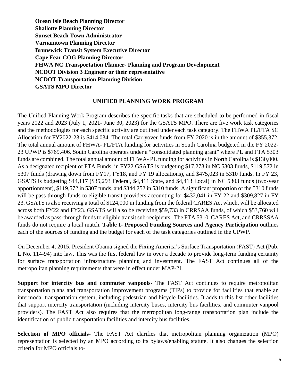**Ocean Isle Beach Planning Director Shallotte Planning Director Sunset Beach Town Administrator Varnamtown Planning Director Brunswick Transit System Executive Director Cape Fear COG Planning Director FHWA NC Transportation Planner- Planning and Program Development NCDOT Division 3 Engineer or their representative NCDOT Transportation Planning Division GSATS MPO Director**

#### **UNIFIED PLANNING WORK PROGRAM**

The Unified Planning Work Program describes the specific tasks that are scheduled to be performed in fiscal years 2022 and 2023 (July 1, 2021- June 30, 2023) for the GSATS MPO. There are five work task categories and the methodologies for each specific activity are outlined under each task category. The FHWA PL/FTA SC Allocation for FY2022-23 is \$414,034. The total Carryover funds from FY 2020 is in the amount of \$355,372. The total annual amount of FHWA- PL/FTA funding for activities in South Carolina budgeted in the FY 2022- 23 UPWP is \$769,406. South Carolina operates under a "consolidated planning grant" where PL and FTA 5303 funds are combined. The total annual amount of FHWA- PL funding for activities in North Carolina is \$130,000. As a designated recipient of FTA Funds, in FY22 GSATS is budgeting \$17,273 in NC 5303 funds, \$119,572 in 5307 funds (drawing down from FY17, FY18, and FY 19 allocations), and \$475,023 in 5310 funds. In FY 23, GSATS is budgeting \$44,117 (\$35,293 Federal, \$4,411 State, and \$4,413 Local) in NC 5303 funds (two-year apportionment), \$119,572 in 5307 funds, and \$344,252 in 5310 funds. A significant proportion of the 5310 funds will be pass through funds to eligible transit providers accounting for \$432,041 in FY 22 and \$309,827 in FY 23. GSATS is also receiving a total of \$124,000 in funding from the federal CARES Act which, will be allocated across both FY22 and FY23. GSATS will also be receiving \$59,733 in CRRSAA funds, of which \$53,760 will be awarded as pass-through funds to eligible transit sub-recipients. The FTA 5310, CARES Act, and CRRSSAA funds do not require a local match**. Table I- Proposed Funding Sources and Agency Participation** outlines each of the sources of funding and the budget for each of the task categories outlined in the UPWP.

On December 4, 2015, President Obama signed the Fixing America's Surface Transportation (FAST) Act (Pub. L No. 114-94) into law. This was the first federal law in over a decade to provide long-term funding certainty for surface transportation infrastructure planning and investment. The FAST Act continues all of the metropolitan planning requirements that were in effect under MAP-21.

**Support for intercity bus and commuter vanpools-** The FAST Act continues to require metropolitan transportation plans and transportation improvement programs (TIPs) to provide for facilities that enable an intermodal transportation system, including pedestrian and bicycle facilities. It adds to this list other facilities that support intercity transportation (including intercity buses, intercity bus facilities, and commuter vanpool providers). The FAST Act also requires that the metropolitan long-range transportation plan include the identification of public transportation facilities and intercity bus facilities.

**Selection of MPO officials-** The FAST Act clarifies that metropolitan planning organization (MPO) representation is selected by an MPO according to its bylaws/enabling statute. It also changes the selection criteria for MPO officials to-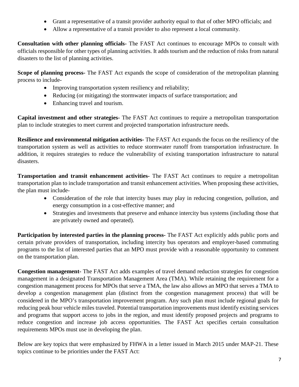- Grant a representative of a transit provider authority equal to that of other MPO officials; and
- Allow a representative of a transit provider to also represent a local community.

**Consultation with other planning officials-** The FAST Act continues to encourage MPOs to consult with officials responsible for other types of planning activities. It adds tourism and the reduction of risks from natural disasters to the list of planning activities.

**Scope of planning process-** The FAST Act expands the scope of consideration of the metropolitan planning process to include-

- Improving transportation system resiliency and reliability;
- Reducing (or mitigating) the stormwater impacts of surface transportation; and
- Enhancing travel and tourism.

**Capital investment and other strategies-** The FAST Act continues to require a metropolitan transportation plan to include strategies to meet current and projected transportation infrastructure needs.

**Resilience and environmental mitigation activities-** The FAST Act expands the focus on the resiliency of the transportation system as well as activities to reduce stormwater runoff from transportation infrastructure. In addition, it requires strategies to reduce the vulnerability of existing transportation infrastructure to natural disasters.

**Transportation and transit enhancement activities-** The FAST Act continues to require a metropolitan transportation plan to include transportation and transit enhancement activities. When proposing these activities, the plan must include-

- Consideration of the role that intercity buses may play in reducing congestion, pollution, and energy consumption in a cost-effective manner; and
- Strategies and investments that preserve and enhance intercity bus systems (including those that are privately owned and operated).

**Participation by interested parties in the planning process-** The FAST Act explicitly adds public ports and certain private providers of transportation, including intercity bus operators and employer-based commuting programs to the list of interested parties that an MPO must provide with a reasonable opportunity to comment on the transportation plan.

**Congestion management-** The FAST Act adds examples of travel demand reduction strategies for congestion management in a designated Transportation Management Area (TMA). While retaining the requirement for a congestion management process for MPOs that serve a TMA, the law also allows an MPO that serves a TMA to develop a congestion management plan (distinct from the congestion management process) that will be considered in the MPO's transportation improvement program. Any such plan must include regional goals for reducing peak hour vehicle miles traveled. Potential transportation improvements must identify existing services and programs that support access to jobs in the region, and must identify proposed projects and programs to reduce congestion and increase job access opportunities. The FAST Act specifies certain consultation requirements MPOs must use in developing the plan.

Below are key topics that were emphasized by FHWA in a letter issued in March 2015 under MAP-21. These topics continue to be priorities under the FAST Act: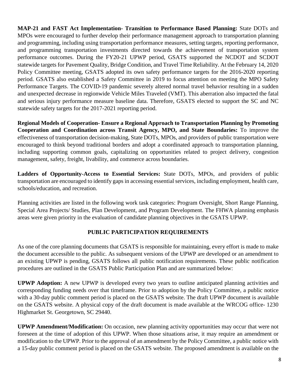**MAP-21 and FAST Act Implementation- Transition to Performance Based Planning:** State DOTs and MPOs were encouraged to further develop their performance management approach to transportation planning and programming, including using transportation performance measures, setting targets, reporting performance, and programming transportation investments directed towards the achievement of transportation system performance outcomes. During the FY20-21 UPWP period, GSATS supported the NCDOT and SCDOT statewide targets for Pavement Quality, Bridge Condition, and Travel Time Reliability. At the February 14, 2020 Policy Committee meeting, GSATS adopted its own safety performance targets for the 2016-2020 reporting period. GSATS also established a Safety Committee in 2019 to focus attention on meeting the MPO Safety Performance Targets. The COVID-19 pandemic severely altered normal travel behavior resulting in a sudden and unexpected decrease in regionwide Vehicle Miles Traveled (VMT). This aberration also impacted the fatal and serious injury performance measure baseline data. Therefore, GSATS elected to support the SC and NC statewide safety targets for the 2017-2021 reporting period.

**Regional Models of Cooperation- Ensure a Regional Approach to Transportation Planning by Promoting Cooperation and Coordination across Transit Agency, MPO, and State Boundaries:** To improve the effectiveness of transportation decision-making, State DOTs, MPOs, and providers of public transportation were encouraged to think beyond traditional borders and adopt a coordinated approach to transportation planning, including supporting common goals, capitalizing on opportunities related to project delivery, congestion management, safety, freight, livability, and commerce across boundaries.

**Ladders of Opportunity-Access to Essential Services:** State DOTs, MPOs, and providers of public transportation are encouraged to identify gaps in accessing essential services, including employment, health care, schools/education, and recreation.

Planning activities are listed in the following work task categories: Program Oversight, Short Range Planning, Special Area Projects/ Studies, Plan Development, and Program Development. The FHWA planning emphasis areas were given priority in the evaluation of candidate planning objectives in the GSATS UPWP.

### **PUBLIC PARTICIPATION REQUIREMENTS**

As one of the core planning documents that GSATS is responsible for maintaining, every effort is made to make the document accessible to the public. As subsequent versions of the UPWP are developed or an amendment to an existing UPWP is pending, GSATS follows all public notification requirements. These public notification procedures are outlined in the GSATS Public Participation Plan and are summarized below:

**UPWP Adoption:** A new UPWP is developed every two years to outline anticipated planning activities and corresponding funding needs over that timeframe. Prior to adoption by the Policy Committee, a public notice with a 30-day public comment period is placed on the GSATS website. The draft UPWP document is available on the GSATS website. A physical copy of the draft document is made available at the WRCOG office- 1230 Highmarket St. Georgetown, SC 29440.

**UPWP Amendment/Modification:** On occasion, new planning activity opportunities may occur that were not foreseen at the time of adoption of this UPWP. When those situations arise, it may require an amendment or modification to the UPWP. Prior to the approval of an amendment by the Policy Committee, a public notice with a 15-day public comment period is placed on the GSATS website. The proposed amendment is available on the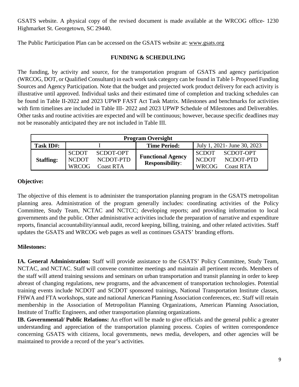GSATS website. A physical copy of the revised document is made available at the WRCOG office- 1230 Highmarket St. Georgetown, SC 29440.

The Public Participation Plan can be accessed on the GSATS website at: [www.gsats.org](http://www.gsats.org/)

### **FUNDING & SCHEDULING**

The funding, by activity and source, for the transportation program of GSATS and agency participation (WRCOG, DOT, or Qualified Consultant) in each work task category can be found in Table I- Proposed Funding Sources and Agency Participation. Note that the budget and projected work product delivery for each activity is illustrative until approved. Individual tasks and their estimated time of completion and tracking schedules can be found in Table II-2022 and 2023 UPWP FAST Act Task Matrix. Milestones and benchmarks for activities with firm timelines are included in Table III- 2022 and 2023 UPWP Schedule of Milestones and Deliverables. Other tasks and routine activities are expected and will be continuous; however, because specific deadlines may not be reasonably anticipated they are not included in Table III.

| <b>Program Oversight</b> |                                       |                                            |                                                    |                                              |                                            |  |  |
|--------------------------|---------------------------------------|--------------------------------------------|----------------------------------------------------|----------------------------------------------|--------------------------------------------|--|--|
| Task ID#:                |                                       |                                            | July 1, 2021 - June 30, 2023                       |                                              |                                            |  |  |
| <b>Staffing:</b>         | SCDOT<br><b>NCDOT</b><br><b>WRCOG</b> | SCDOT-OPT<br>NCDOT-PTD<br><b>Coast RTA</b> | <b>Functional Agency</b><br><b>Responsibility:</b> | <b>SCDOT</b><br><b>NCDOT</b><br><b>WRCOG</b> | SCDOT-OPT<br>NCDOT-PTD<br><b>Coast RTA</b> |  |  |

### **Objective:**

The objective of this element is to administer the transportation planning program in the GSATS metropolitan planning area. Administration of the program generally includes: coordinating activities of the Policy Committee, Study Team, NCTAC and NCTCC; developing reports; and providing information to local governments and the public. Other administrative activities include the preparation of narrative and expenditure reports, financial accountability/annual audit, record keeping, billing, training, and other related activities. Staff updates the GSATS and WRCOG web pages as well as continues GSATS' branding efforts.

# **Milestones:**

**IA. General Administration:** Staff will provide assistance to the GSATS' Policy Committee, Study Team, NCTAC, and NCTAC. Staff will convene committee meetings and maintain all pertinent records. Members of the staff will attend training sessions and seminars on urban transportation and transit planning in order to keep abreast of changing regulations, new programs, and the advancement of transportation technologies. Potential training events include NCDOT and SCDOT sponsored trainings, National Transportation Institute classes, FHWA and FTA workshops, state and national American Planning Association conferences, etc. Staff will retain membership in the Association of Metropolitan Planning Organizations, American Planning Association, Institute of Traffic Engineers, and other transportation planning organizations.

**IB. Governmental/ Public Relations:** An effort will be made to give officials and the general public a greater understanding and appreciation of the transportation planning process. Copies of written correspondence concerning GSATS with citizens, local governments, news media, developers, and other agencies will be maintained to provide a record of the year's activities.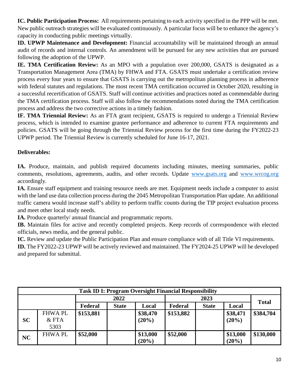**IC. Public Participation Process:** All requirements pertaining to each activity specified in the PPP will be met. New public outreach strategies will be evaluated continuously. A particular focus will be to enhance the agency's capacity in conducting public meetings virtually.

**ID. UPWP Maintenance and Development:** Financial accountability will be maintained through an annual audit of records and internal controls. An amendment will be pursued for any new activities that are pursued following the adoption of the UPWP.

**IE. TMA Certification Review:** As an MPO with a population over 200,000, GSATS is designated as a Transportation Management Area (TMA) by FHWA and FTA. GSATS must undertake a certification review process every four years to ensure that GSATS is carrying out the metropolitan planning process in adherence with federal statutes and regulations. The most recent TMA certification occurred in October 2020, resulting in a successful recertification of GSATS. Staff will continue activities and practices noted as commendable during the TMA certification process. Staff will also follow the recommendations noted during the TMA certification process and address the two corrective actions in a timely fashion.

**IF. TMA Triennial Review:** As an FTA grant recipient, GSATS is required to undergo a Triennial Review process, which is intended to examine grantee performance and adherence to current FTA requirements and policies. GSATS will be going through the Triennial Review process for the first time during the FY2022-23 UPWP period. The Triennial Review is currently scheduled for June 16-17, 2021.

## **Deliverables:**

IA. Produce, maintain, and publish required documents including minutes, meeting summaries, public comments, resolutions, agreements, audits, and other records. Update [www.gsats.org](http://www.gsats.org/) and [www.wrcog.org](http://www.wrcog.org/) accordingly.

**IA.** Ensure staff equipment and training resource needs are met. Equipment needs include a computer to assist with the land use data collection process during the 2045 Metropolitan Transportation Plan update. An additional traffic camera would increase staff's ability to perform traffic counts during the TIP project evaluation process and meet other local study needs.

**IA.** Produce quarterly/ annual financial and programmatic reports.

**IB.** Maintain files for active and recently completed projects. Keep records of correspondence with elected officials, news media, and the general public.

**IC.** Review and update the Public Participation Plan and ensure compliance with of all Title VI requirements.

**ID.** The FY2022-23 UPWP will be actively reviewed and maintained. The FY2024-25 UPWP will be developed and prepared for submittal.

| <b>Task ID I: Program Oversight Financial Responsibility</b> |               |           |              |          |           |              |          |              |
|--------------------------------------------------------------|---------------|-----------|--------------|----------|-----------|--------------|----------|--------------|
|                                                              |               | 2022      |              |          | 2023      |              |          |              |
|                                                              |               | Federal   | <b>State</b> | Local    | Federal   | <b>State</b> | Local    | <b>Total</b> |
|                                                              | <b>FHWAPL</b> | \$153,881 |              | \$38,470 | \$153,882 |              | \$38,471 | \$384,704    |
| <b>SC</b>                                                    | $&$ FTA       |           |              | $(20\%)$ |           |              | $(20\%)$ |              |
|                                                              | 5303          |           |              |          |           |              |          |              |
| <b>NC</b>                                                    | <b>FHWAPL</b> | \$52,000  |              | \$13,000 | \$52,000  |              | \$13,000 | \$130,000    |
|                                                              |               |           |              | $(20\%)$ |           |              | (20%)    |              |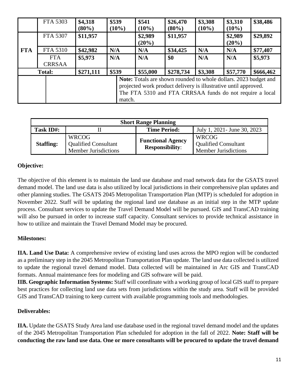|                                                                                                                                                                                                           | FTA 5303      | \$4,318<br>$(80\%)$ | \$539<br>$(10\%)$ | \$541<br>$(10\%)$   | \$26,470<br>$(80\%)$ | \$3,308<br>$(10\%)$ | \$3,310<br>$(10\%)$ | \$38,486  |
|-----------------------------------------------------------------------------------------------------------------------------------------------------------------------------------------------------------|---------------|---------------------|-------------------|---------------------|----------------------|---------------------|---------------------|-----------|
|                                                                                                                                                                                                           | FTA 5307      | \$11,957            |                   | \$2,989<br>$(20\%)$ | \$11,957             |                     | \$2,989<br>$(20\%)$ | \$29,892  |
| <b>FTA</b>                                                                                                                                                                                                | FTA 5310      | \$42,982            | N/A               | N/A                 | \$34,425             | N/A                 | N/A                 | \$77,407  |
|                                                                                                                                                                                                           | <b>FTA</b>    | \$5,973             | N/A               | N/A                 | \$0                  | N/A                 | N/A                 | \$5,973   |
|                                                                                                                                                                                                           | <b>CRRSAA</b> |                     |                   |                     |                      |                     |                     |           |
|                                                                                                                                                                                                           | <b>Total:</b> | \$271,111           | \$539             | \$55,000            | \$278,734            | \$3,308             | \$57,770            | \$666,462 |
| Note: Totals are shown rounded to whole dollars. 2023 budget and<br>projected work product delivery is illustrative until approved.<br>The FTA 5310 and FTA CRRSAA funds do not require a local<br>match. |               |                     |                   |                     |                      |                     |                     |           |

| <b>Short Range Planning</b> |                                                                            |                                                    |                                                                            |  |  |  |
|-----------------------------|----------------------------------------------------------------------------|----------------------------------------------------|----------------------------------------------------------------------------|--|--|--|
| Task ID#:                   |                                                                            | <b>Time Period:</b>                                | July 1, 2021 - June 30, 2023                                               |  |  |  |
| <b>Staffing:</b>            | <b>WRCOG</b><br><b>Qualified Consultant</b><br><b>Member Jurisdictions</b> | <b>Functional Agency</b><br><b>Responsibility:</b> | <b>WRCOG</b><br><b>Qualified Consultant</b><br><b>Member Jurisdictions</b> |  |  |  |

### **Objective:**

The objective of this element is to maintain the land use database and road network data for the GSATS travel demand model. The land use data is also utilized by local jurisdictions in their comprehensive plan updates and other planning studies. The GSATS 2045 Metropolitan Transportation Plan (MTP) is scheduled for adoption in November 2022. Staff will be updating the regional land use database as an initial step in the MTP update process. Consultant services to update the Travel Demand Model will be pursued. GIS and TransCAD training will also be pursued in order to increase staff capacity. Consultant services to provide technical assistance in how to utilize and maintain the Travel Demand Model may be procured.

### **Milestones:**

**IIA. Land Use Data:** A comprehensive review of existing land uses across the MPO region will be conducted as a preliminary step in the 2045 Metropolitan Transportation Plan update. The land use data collected is utilized to update the regional travel demand model. Data collected will be maintained in Arc GIS and TransCAD formats. Annual maintenance fees for modeling and GIS software will be paid.

**IIB. Geographic Information Systems:** Staff will coordinate with a working group of local GIS staff to prepare best practices for collecting land use data sets from jurisdictions within the study area. Staff will be provided GIS and TransCAD training to keep current with available programming tools and methodologies.

#### **Deliverables:**

**IIA.** Update the GSATS Study Area land use database used in the regional travel demand model and the updates of the 2045 Metropolitan Transportation Plan scheduled for adoption in the fall of 2022. **Note: Staff will be conducting the raw land use data. One or more consultants will be procured to update the travel demand**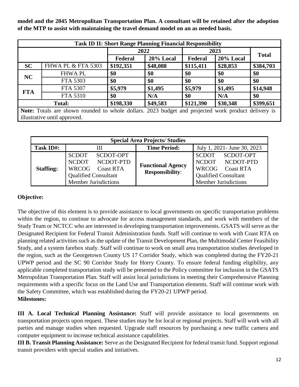**model and the 2045 Metropolitan Transportation Plan. A consultant will be retained after the adoption of the MTP to assist with maintaining the travel demand model on an as needed basis.**

| <b>Task ID II: Short Range Planning Financial Responsibility</b>             |                                                                                                                                     |           |           |           |           |              |  |
|------------------------------------------------------------------------------|-------------------------------------------------------------------------------------------------------------------------------------|-----------|-----------|-----------|-----------|--------------|--|
|                                                                              |                                                                                                                                     |           | 2022      |           | 2023      |              |  |
|                                                                              |                                                                                                                                     | Federal   | 20% Local | Federal   | 20% Local | <b>Total</b> |  |
| <b>SC</b>                                                                    | <b>FHWA PL &amp; FTA 5303</b>                                                                                                       | \$192,351 | \$48,088  | \$115,411 | \$28,853  | \$384,703    |  |
| NC                                                                           | <b>FHWAPL</b>                                                                                                                       | \$0       | \$0       | \$0       | \$0       | \$0          |  |
|                                                                              | FTA 5303                                                                                                                            | \$0       | \$0       | \$0       | \$0       | \$0          |  |
|                                                                              | FTA 5307                                                                                                                            | \$5,979   | \$1,495   | \$5,979   | \$1,495   | \$14,948     |  |
| <b>FTA</b>                                                                   | FTA 5310                                                                                                                            | \$0       | N/A       | \$0       | N/A       | \$0          |  |
| \$198,330<br>\$49,583<br>\$30,348<br>\$399,651<br>\$121,390<br><b>Total:</b> |                                                                                                                                     |           |           |           |           |              |  |
|                                                                              | Note: Totals are shown rounded to whole dollars. 2023 budget and projected work product delivery is<br>illustrative until approved. |           |           |           |           |              |  |

| <b>Special Area Projects/ Studies</b> |                                                                                                                               |                                                    |                                                                                                                        |  |  |  |  |  |
|---------------------------------------|-------------------------------------------------------------------------------------------------------------------------------|----------------------------------------------------|------------------------------------------------------------------------------------------------------------------------|--|--|--|--|--|
| Task ID#:                             | Ш                                                                                                                             | <b>Time Period:</b>                                | July 1, 2021 - June 30, 2023                                                                                           |  |  |  |  |  |
| <b>Staffing:</b>                      | SCDOT-OPT<br><b>SCDOT</b><br>NCDOT NCDOT-PTD<br>WRCOG Coast RTA<br><b>Qualified Consultant</b><br><b>Member Jurisdictions</b> | <b>Functional Agency</b><br><b>Responsibility:</b> | SCDOT<br>SCDOT-OPT<br>NCDOT NCDOT-PTD<br>WRCOG Coast RTA<br><b>Qualified Consultant</b><br><b>Member Jurisdictions</b> |  |  |  |  |  |

### **Objective:**

The objective of this element is to provide assistance to local governments on specific transportation problems within the region, to continue to advocate for access management standards, and work with members of the Study Team or NCTCC who are interested in developing transportation improvements. GSATS will serve as the Designated Recipient for Federal Transit Administration funds. Staff will continue to work with Coast RTA on planning related activities such as the update of the Transit Development Plan, the Multimodal Center Feasibility Study, and a system farebox study. Staff will continue to work on small area transportation studies developed in the region, such as the Georgetown County US 17 Corridor Study, which was completed during the FY20-21 UPWP period and the SC 90 Corridor Study for Horry County. To ensure federal funding eligibility, any applicable completed transportation study will be presented to the Policy committee for inclusion in the GSATS Metropolitan Transportation Plan. Staff will assist local jurisdictions in meeting their Comprehensive Planning requirements with a specific focus on the Land Use and Transportation elements. Staff will continue work with the Safety Committee, which was established during the FY20-21 UPWP period. **Milestones:** 

**III A. Local Technical Planning Assistance:** Staff will provide assistance to local governments on transportation projects upon request. These studies may be for local or regional projects. Staff will work with all parties and manage studies when requested. Upgrade staff resources by purchasing a new traffic camera and computer equipment to increase technical assistance capabilities.

**III B. Transit Planning Assistance:** Serve as the Designated Recipient for federal transit fund. Support regional transit providers with special studies and initiatives.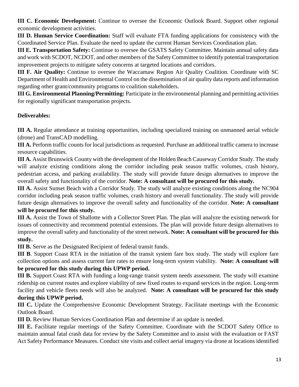**III C. Economic Development:** Continue to oversee the Economic Outlook Board. Support other regional economic development activities.

**III D. Human Service Coordination:** Staff will evaluate FTA funding applications for consistency with the Coordinated Service Plan. Evaluate the need to update the current Human Services Coordination plan.

**III E. Transportation Safety:** Continue to oversee the GSATS Safety Committee. Maintain annual safety data and work with SCDOT, NCDOT, and other members of the Safety Committee to identify potential transportation improvement projects to mitigate safety concerns at targeted locations and corridors.

**III F. Air Quality:** Continue to oversee the Waccamaw Region Air Quality Coalition. Coordinate with SC Department of Health and Environmental Control on the dissemination of air quality data reports and information regarding other grant/community programs to coalition stakeholders.

**III G. Environmental Planning/Permitting:** Participate in the environmental planning and permitting activities for regionally significant transportation projects.

# **Deliverables:**

**III A.** Regular attendance at training opportunities, including specialized training on unmanned aerial vehicle (drone) and TransCAD modelling.

**III A.** Perform traffic counts for local jurisdictions as requested. Purchase an additional traffic camera to increase resource capabilities.

**III A.** Assist Brunswick County with the development of the Holden Beach Causeway Corridor Study. The study will analyze existing conditions along the corridor including peak season traffic volumes, crash history, pedestrian access, and parking availability. The study will provide future design alternatives to improve the overall safety and functionality of the corridor. **Note: A consultant will be procured for this study.** 

**III A.** Assist Sunset Beach with a Corridor Study. The study will analyze existing conditions along the NC904 corridor including peak season traffic volumes, crash history and overall functionality. The study will provide future design alternatives to improve the overall safety and functionality of the corridor. **Note: A consultant will be procured for this study.**

**III A.** Assist the Town of Shallotte with a Collector Street Plan. The plan will analyze the existing network for issues of connectivity and recommend potential extensions. The plan will provide future design alternatives to improve the overall safety and functionality of the street network. **Note: A consultant will be procured for this study.**

**III B.** Serve as the Designated Recipient of federal transit funds.

**III B**. Support Coast RTA in the initiation of the transit system fare box study. The study will explore fare collection options and assess current fare rates to ensure long-term system viability. **Note: A consultant will be procured for this study during this UPWP period.** 

**III B.** Support Coast RTA with funding a long-range transit system needs assessment. The study will examine ridership on current routes and explore viability of new fixed routes to expand services in the region. Long-term facility and vehicle fleets needs will also be analyzed. **Note: A consultant will be procured for this study during this UPWP period.** 

**III C.** Update the Comprehensive Economic Development Strategy. Facilitate meetings with the Economic Outlook Board.

**III D.** Review Human Services Coordination Plan and determine if an update is needed.

**III E.** Facilitate regular meetings of the Safety Committee. Coordinate with the SCDOT Safety Office to maintain annual fatal crash data for review by the Safety Committee and to assist with the evaluation or FAST Act Safety Performance Measures. Conduct site visits and collect aerial imagery via drone at locations identified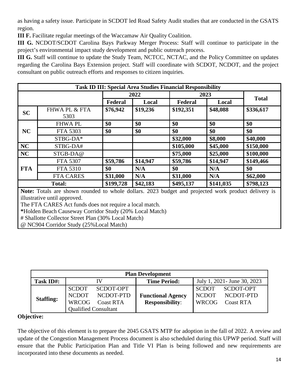as having a safety issue. Participate in SCDOT led Road Safety Audit studies that are conducted in the GSATS region.

**III F.** Facilitate regular meetings of the Waccamaw Air Quality Coalition.

**III G.** NCDOT/SCDOT Carolina Bays Parkway Merger Process: Staff will continue to participate in the project's environmental impact study development and public outreach process.

**III G.** Staff will continue to update the Study Team, NCTCC, NCTAC, and the Policy Committee on updates regarding the Carolina Bays Extension project. Staff will coordinate with SCDOT, NCDOT, and the project consultant on public outreach efforts and responses to citizen inquiries.

| <b>Task ID III: Special Area Studies Financial Responsibility</b> |                                  |           |          |           |           |              |  |
|-------------------------------------------------------------------|----------------------------------|-----------|----------|-----------|-----------|--------------|--|
|                                                                   |                                  |           | 2022     |           | 2023      |              |  |
|                                                                   |                                  | Federal   | Local    | Federal   | Local     | <b>Total</b> |  |
| <b>SC</b>                                                         | <b>FHWA PL &amp; FTA</b><br>5303 | \$76,942  | \$19,236 | \$192,351 | \$48,088  | \$336,617    |  |
|                                                                   | <b>FHWAPL</b>                    | \$0       | \$0      | \$0       | \$0       | \$0          |  |
| <b>NC</b>                                                         | FTA 5303                         | \$0       | \$0      | \$0       | \$0       | \$0          |  |
|                                                                   | STBG-DA*                         |           |          | \$32,000  | \$8,000   | \$40,000     |  |
| <b>NC</b>                                                         | STBG-DA#                         |           |          | \$105,000 | \$45,000  | \$150,000    |  |
| <b>NC</b>                                                         | STGB-DA@                         |           |          | \$75,000  | \$25,000  | \$100,000    |  |
|                                                                   | FTA 5307                         | \$59,786  | \$14,947 | \$59,786  | \$14,947  | \$149,466    |  |
| <b>FTA</b>                                                        | FTA 5310                         | \$0       | N/A      | \$0       | N/A       | \$0          |  |
|                                                                   | <b>FTA CARES</b>                 | \$31,000  | N/A      | \$31,000  | N/A       | \$62,000     |  |
|                                                                   | <b>Total:</b>                    | \$199,728 | \$42,183 | \$495,137 | \$141,035 | \$798,123    |  |

**Note:** Totals are shown rounded to whole dollars. 2023 budget and projected work product delivery is illustrative until approved.

The FTA CARES Act funds does not require a local match.

**\***Holden Beach Causeway Corridor Study (20% Local Match)

# Shallotte Collector Street Plan (30% Local Match)

@ NC904 Corridor Study (25%Local Match)

| <b>Plan Development</b> |                                                                             |                                            |                                                    |                                              |                                            |  |  |
|-------------------------|-----------------------------------------------------------------------------|--------------------------------------------|----------------------------------------------------|----------------------------------------------|--------------------------------------------|--|--|
| Task ID#:               |                                                                             |                                            | <b>Time Period:</b>                                | July 1, 2021 - June 30, 2023                 |                                            |  |  |
| <b>Staffing:</b>        | <b>SCDOT</b><br><b>NCDOT</b><br><b>WRCOG</b><br><b>Qualified Consultant</b> | SCDOT-OPT<br>NCDOT-PTD<br><b>Coast RTA</b> | <b>Functional Agency</b><br><b>Responsibility:</b> | <b>SCDOT</b><br><b>NCDOT</b><br><b>WRCOG</b> | SCDOT-OPT<br>NCDOT-PTD<br><b>Coast RTA</b> |  |  |

#### **Objective:**

The objective of this element is to prepare the 2045 GSATS MTP for adoption in the fall of 2022. A review and update of the Congestion Management Process document is also scheduled during this UPWP period. Staff will ensure that the Public Participation Plan and Title VI Plan is being followed and new requirements are incorporated into these documents as needed.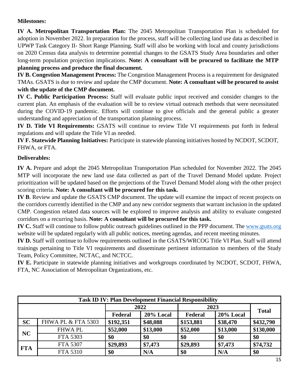#### **Milestones:**

**IV A. Metropolitan Transportation Plan:** The 2045 Metropolitan Transportation Plan is scheduled for adoption in November 2022. In preparation for the process, staff will be collecting land use data as described in UPWP Task Category II- Short Range Planning. Staff will also be working with local and county jurisdictions on 2020 Census data analysis to determine potential changes to the GSATS Study Area boundaries and other long-term population projection implications. **Note: A consultant will be procured to facilitate the MTP planning process and produce the final document.** 

**IV B. Congestion Management Process:** The Congestion Management Process is a requirement for designated TMAs. GSATS is due to review and update the CMP document. **Note: A consultant will be procured to assist with the update of the CMP document.** 

**IV C. Public Participation Process:** Staff will evaluate public input received and consider changes to the current plan. An emphasis of the evaluation will be to review virtual outreach methods that were necessitated during the COVID-19 pandemic. Efforts will continue to give officials and the general public a greater understanding and appreciation of the transportation planning process.

**IV D. Title VI Requirements:** GSATS will continue to review Title VI requirements put forth in federal regulations and will update the Title VI as needed.

**IV F. Statewide Planning Initiatives:** Participate in statewide planning initiatives hosted by NCDOT, SCDOT, FHWA, or FTA.

### **Deliverables:**

**IV A.** Prepare and adopt the 2045 Metropolitan Transportation Plan scheduled for November 2022. The 2045 MTP will incorporate the new land use data collected as part of the Travel Demand Model update. Project prioritization will be updated based on the projections of the Travel Demand Model along with the other project scoring criteria. **Note: A consultant will be procured for this task.** 

**IV B**. Review and update the GSATS CMP document. The update will examine the impact of recent projects on the corridors currently identified in the CMP and any new corridor segments that warrant inclusion in the updated CMP. Congestion related data sources will be explored to improve analysis and ability to evaluate congested corridors on a recurring basis. **Note: A consultant will be procured for this task.**

**IV C.** Staff will continue to follow public outreach guidelines outlined in the PPP document. The [www.gsats.org](http://www.gsats.org/) website will be updated regularly with all public notices, meeting agendas, and recent meeting minutes.

**IV D.** Staff will continue to follow requirements outlined in the GSATS/WRCOG Title VI Plan. Staff will attend trainings pertaining to Title VI requirements and disseminate pertinent information to members of the Study Team, Policy Committee, NCTAC, and NCTCC.

**IV E.** Participate in statewide planning initiatives and workgroups coordinated by NCDOT, SCDOT, FHWA, FTA, NC Association of Metropolitan Organizations, etc.

| <b>Task ID IV: Plan Development Financial Responsibility</b> |                               |           |           |           |           |              |  |
|--------------------------------------------------------------|-------------------------------|-----------|-----------|-----------|-----------|--------------|--|
|                                                              |                               | 2022      |           | 2023      |           |              |  |
|                                                              |                               | Federal   | 20% Local | Federal   | 20% Local | <b>Total</b> |  |
| <b>SC</b>                                                    | <b>FHWA PL &amp; FTA 5303</b> | \$192,351 | \$48,088  | \$153,881 | \$38,470  | \$432,790    |  |
| <b>NC</b>                                                    | <b>FHWAPL</b>                 | \$52,000  | \$13,000  | \$52,000  | \$13,000  | \$130,000    |  |
|                                                              | FTA 5303                      | \$0       | \$0       | \$0       | \$0       | \$0          |  |
| <b>FTA</b>                                                   | FTA 5307                      | \$29,893  | \$7,473   | \$29,893  | \$7,473   | \$74,732     |  |
|                                                              | <b>FTA 5310</b>               | \$0       | N/A       | \$0       | N/A       | \$0          |  |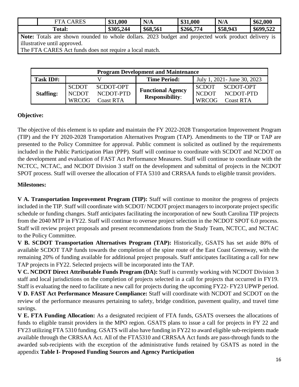| <b>ARES</b><br>Tл<br>$\Delta$ | \$31,000  | N/A      | 0.1,000<br>ቀ 11<br>ື | N/A      | \$62,000  |
|-------------------------------|-----------|----------|----------------------|----------|-----------|
| <b>Total:</b>                 | \$305,244 | \$68,561 | .774<br>\$266,       | \$58,943 | \$699,522 |

Note: Totals are shown rounded to whole dollars. 2023 budget and projected work product delivery is illustrative until approved.

The FTA CARES Act funds does not require a local match.

| <b>Program Development and Maintenance</b> |                              |                               |                                                    |                              |                               |  |  |  |
|--------------------------------------------|------------------------------|-------------------------------|----------------------------------------------------|------------------------------|-------------------------------|--|--|--|
| Task ID#:                                  |                              |                               | <b>Time Period:</b>                                | July 1, 2021 - June 30, 2023 |                               |  |  |  |
|                                            | <b>SCDOT</b>                 | SCDOT-OPT                     | <b>Functional Agency</b><br><b>Responsibility:</b> | <b>SCDOT</b><br><b>NCDOT</b> | SCDOT-OPT                     |  |  |  |
| <b>Staffing:</b>                           | <b>NCDOT</b><br><b>WRCOG</b> | NCDOT-PTD<br><b>Coast RTA</b> |                                                    | <b>WRCOG</b>                 | NCDOT-PTD<br><b>Coast RTA</b> |  |  |  |

#### **Objective:**

The objective of this element is to update and maintain the FY 2022-2028 Transportation Improvement Program (TIP) and the FY 2020-2028 Transportation Alternatives Program (TAP). Amendments to the TIP or TAP are presented to the Policy Committee for approval. Public comment is solicited as outlined by the requirements included in the Public Participation Plan (PPP). Staff will continue to coordinate with SCDOT and NCDOT on the development and evaluation of FAST Act Performance Measures. Staff will continue to coordinate with the NCTCC, NCTAC, and NCDOT Division 3 staff on the development and submittal of projects in the NCDOT SPOT process. Staff will oversee the allocation of FTA 5310 and CRRSAA funds to eligible transit providers.

#### **Milestones:**

**V A. Transportation Improvement Program (TIP):** Staff will continue to monitor the progress of projects included in the TIP. Staff will coordinate with SCDOT/ NCDOT project managers to incorporate project specific schedule or funding changes. Staff anticipates facilitating the incorporation of new South Carolina TIP projects from the 2040 MTP in FY22. Staff will continue to oversee project selection in the NCDOT SPOT 6.0 process. Staff will review project proposals and present recommendations from the Study Team, NCTCC, and NCTAC to the Policy Committee.

**V B. SCDOT Transportation Alternatives Program (TAP):** Historically, GSATS has set aside 80% of available SCDOT TAP funds towards the completion of the spine route of the East Coast Greenway, with the remaining 20% of funding available for additional project proposals. Staff anticipates facilitating a call for new TAP projects in FY22. Selected projects will be incorporated into the TAP.

**V C. NCDOT Direct Attributable Funds Program (DA):** Staff is currently working with NCDOT Division 3 staff and local jurisdictions on the completion of projects selected in a call for projects that occurred in FY19. Staff is evaluating the need to facilitate a new call for projects during the upcoming FY22- FY23 UPWP period.

**V D. FAST Act Performance Measure Compliance:** Staff will coordinate with NCDOT and SCDOT on the review of the performance measures pertaining to safety, bridge condition, pavement quality, and travel time savings.

**V E. FTA Funding Allocation:** As a designated recipient of FTA funds, GSATS oversees the allocations of funds to eligible transit providers in the MPO region. GSATS plans to issue a call for projects in FY 22 and FY23 utilizing FTA 5310 funding. GSATS will also have funding in FY22 to award eligible sub-recipients made available through the CRRSAA Act. All of the FTA5310 and CRRSAA Act funds are pass-through funds to the awarded sub-recipients with the exception of the administrative funds retained by GSATS as noted in the appendix **Table I- Proposed Funding Sources and Agency Participation**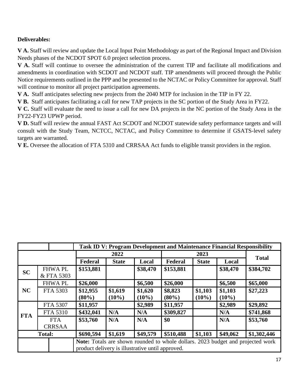### **Deliverables:**

**V A.** Staff will review and update the Local Input Point Methodology as part of the Regional Impact and Division Needs phases of the NCDOT SPOT 6.0 project selection process.

**V A.** Staff will continue to oversee the administration of the current TIP and facilitate all modifications and amendments in coordination with SCDOT and NCDOT staff. TIP amendments will proceed through the Public Notice requirements outlined in the PPP and be presented to the NCTAC or Policy Committee for approval. Staff will continue to monitor all project participation agreements.

**V A.** Staff anticipates selecting new projects from the 2040 MTP for inclusion in the TIP in FY 22.

**V B.** Staff anticipates facilitating a call for new TAP projects in the SC portion of the Study Area in FY22.

**V C.** Staff will evaluate the need to issue a call for new DA projects in the NC portion of the Study Area in the FY22-FY23 UPWP period.

**V D.** Staff will review the annual FAST Act SCDOT and NCDOT statewide safety performance targets and will consult with the Study Team, NCTCC, NCTAC, and Policy Committee to determine if GSATS-level safety targets are warranted.

**V E.** Oversee the allocation of FTA 5310 and CRRSAA Act funds to eligible transit providers in the region.

|                                                                                                                                     |  |                             | <b>Task ID V: Program Development and Maintenance Financial Responsibility</b> |                     |                     |                     |                     |                     |           |
|-------------------------------------------------------------------------------------------------------------------------------------|--|-----------------------------|--------------------------------------------------------------------------------|---------------------|---------------------|---------------------|---------------------|---------------------|-----------|
|                                                                                                                                     |  | 2022                        |                                                                                |                     | 2023                |                     |                     | <b>Total</b>        |           |
|                                                                                                                                     |  |                             | Federal                                                                        | <b>State</b>        | Local               | Federal             | <b>State</b>        | Local               |           |
| <b>SC</b>                                                                                                                           |  | <b>FHWAPL</b><br>& FTA 5303 | \$153,881                                                                      |                     | \$38,470            | \$153,881           |                     | \$38,470            | \$384,702 |
| <b>NC</b>                                                                                                                           |  | <b>FHWAPL</b>               | \$26,000                                                                       |                     | \$6,500             | \$26,000            |                     | \$6,500             | \$65,000  |
|                                                                                                                                     |  | FTA 5303                    | \$12,955<br>$(80\%)$                                                           | \$1,619<br>$(10\%)$ | \$1,620<br>$(10\%)$ | \$8,823<br>$(80\%)$ | \$1,103<br>$(10\%)$ | \$1,103<br>$(10\%)$ | \$27,223  |
|                                                                                                                                     |  | FTA 5307                    | \$11,957                                                                       |                     | \$2,989             | \$11,957            |                     | \$2,989             | \$29,892  |
| <b>FTA</b>                                                                                                                          |  | <b>FTA 5310</b>             | \$432,041                                                                      | N/A                 | N/A                 | \$309,827           |                     | N/A                 | \$741,868 |
|                                                                                                                                     |  | <b>FTA</b><br><b>CRRSAA</b> | \$53,760                                                                       | N/A                 | N/A                 | \$0                 |                     | N/A                 | \$53,760  |
| <b>Total:</b>                                                                                                                       |  | \$690,594                   | \$1,619                                                                        | \$49,579            | \$510,488           | \$1,103             | \$49,062            | \$1,302,446         |           |
| Note: Totals are shown rounded to whole dollars. 2023 budget and projected work<br>product delivery is illustrative until approved. |  |                             |                                                                                |                     |                     |                     |                     |                     |           |